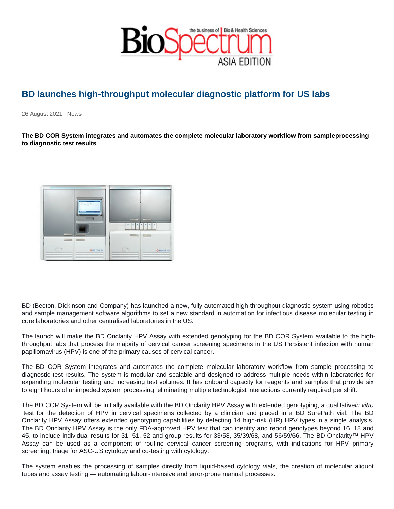## BD launches high-throughput molecular diagnostic platform for US labs

26 August 2021 | News

The BD COR System integrates and automates the complete molecular laboratory workflow from sample processing to diagnostic test results

BD (Becton, Dickinson and Company) has launched a new, fully automated high-throughput diagnostic system using robotics and sample management software algorithms to set a new standard in automation for infectious disease molecular testing in core laboratories and other centralised laboratories in the US.

The launch will make the BD Onclarity HPV Assay with extended genotyping for the BD COR System available to the highthroughput labs that process the majority of cervical cancer screening specimens in the US Persistent infection with human papillomavirus (HPV) is one of the primary causes of cervical cancer.

The BD COR System integrates and automates the complete molecular laboratory workflow from sample processing to diagnostic test results. The system is modular and scalable and designed to address multiple needs within laboratories for expanding molecular testing and increasing test volumes. It has onboard capacity for reagents and samples that provide six to eight hours of unimpeded system processing, eliminating multiple technologist interactions currently required per shift.

The BD COR System will be initially available with the BD Onclarity HPV Assay with extended genotyping, a qualitative in vitro test for the detection of HPV in cervical specimens collected by a clinician and placed in a BD SurePath vial. The BD Onclarity HPV Assay offers extended genotyping capabilities by detecting 14 high-risk (HR) HPV types in a single analysis. The BD Onclarity HPV Assay is the only FDA-approved HPV test that can identify and report genotypes beyond 16, 18 and 45, to include individual results for 31, 51, 52 and group results for 33/58, 35/39/68, and 56/59/66. The BD Onclarity™ HPV Assay can be used as a component of routine cervical cancer screening programs, with indications for HPV primary screening, triage for ASC-US cytology and co-testing with cytology.

The system enables the processing of samples directly from liquid-based cytology vials, the creation of molecular aliquot tubes and assay testing — automating labour-intensive and error-prone manual processes.